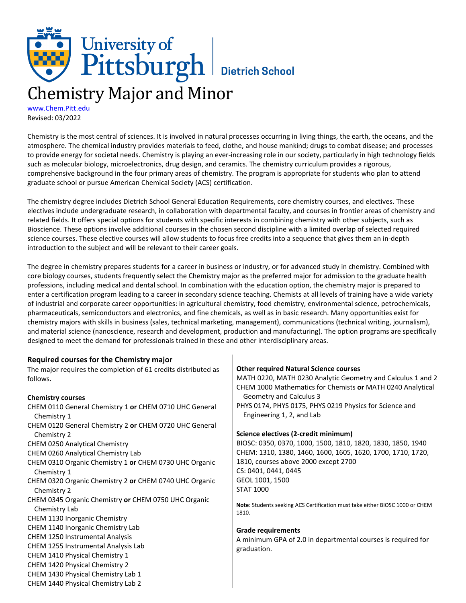# University of<br>Pittsburgh Bietrich School Chemistry Major and Minor

[www.Chem.Pitt.edu](http://www.chem.pitt.edu/) Revised: 03/2022

Chemistry is the most central of sciences. It is involved in natural processes occurring in living things, the earth, the oceans, and the atmosphere. The chemical industry provides materials to feed, clothe, and house mankind; drugs to combat disease; and processes to provide energy for societal needs. Chemistry is playing an ever-increasing role in our society, particularly in high technology fields such as molecular biology, microelectronics, drug design, and ceramics. The chemistry curriculum provides a rigorous, comprehensive background in the four primary areas of chemistry. The program is appropriate for students who plan to attend graduate school or pursue American Chemical Society (ACS) certification.

The chemistry degree includes Dietrich School General Education Requirements, core chemistry courses, and electives. These electives include undergraduate research, in collaboration with departmental faculty, and courses in frontier areas of chemistry and related fields. It offers special options for students with specific interests in combining chemistry with other subjects, such as Bioscience. These options involve additional courses in the chosen second discipline with a limited overlap of selected required science courses. These elective courses will allow students to focus free credits into a sequence that gives them an in-depth introduction to the subject and will be relevant to their career goals.

The degree in chemistry prepares students for a career in business or industry, or for advanced study in chemistry. Combined with core biology courses, students frequently select the Chemistry major as the preferred major for admission to the graduate health professions, including medical and dental school. In combination with the education option, the chemistry major is prepared to enter a certification program leading to a career in secondary science teaching. Chemists at all levels of training have a wide variety of industrial and corporate career opportunities: in agricultural chemistry, food chemistry, environmental science, petrochemicals, pharmaceuticals, semiconductors and electronics, and fine chemicals, as well as in basic research. Many opportunities exist for chemistry majors with skills in business (sales, technical marketing, management), communications (technical writing, journalism), and material science (nanoscience, research and development, production and manufacturing). The option programs are specifically designed to meet the demand for professionals trained in these and other interdisciplinary areas.

| Required courses for the Chemistry major                       |                                                                              |
|----------------------------------------------------------------|------------------------------------------------------------------------------|
| The major requires the completion of 61 credits distributed as | <b>Other required Natural Science courses</b>                                |
| follows.                                                       | MATH 0220, MATH 0230 Analytic Geometry and Calculus 1 and 2                  |
|                                                                | CHEM 1000 Mathematics for Chemists or MATH 0240 Analytical                   |
| <b>Chemistry courses</b>                                       | Geometry and Calculus 3                                                      |
| CHEM 0110 General Chemistry 1 or CHEM 0710 UHC General         | PHYS 0174, PHYS 0175, PHYS 0219 Physics for Science and                      |
| Chemistry 1                                                    | Engineering 1, 2, and Lab                                                    |
| CHEM 0120 General Chemistry 2 or CHEM 0720 UHC General         |                                                                              |
| Chemistry 2                                                    | Science electives (2-credit minimum)                                         |
| CHEM 0250 Analytical Chemistry                                 | BIOSC: 0350, 0370, 1000, 1500, 1810, 1820, 1830, 1850, 1940                  |
| CHEM 0260 Analytical Chemistry Lab                             | CHEM: 1310, 1380, 1460, 1600, 1605, 1620, 1700, 1710, 1720,                  |
| CHEM 0310 Organic Chemistry 1 or CHEM 0730 UHC Organic         | 1810, courses above 2000 except 2700                                         |
| Chemistry 1                                                    | CS: 0401, 0441, 0445                                                         |
| CHEM 0320 Organic Chemistry 2 or CHEM 0740 UHC Organic         | GEOL 1001, 1500                                                              |
| Chemistry 2                                                    | <b>STAT 1000</b>                                                             |
| CHEM 0345 Organic Chemistry or CHEM 0750 UHC Organic           | Note: Students seeking ACS Certification must take either BIOSC 1000 or CHEM |
| Chemistry Lab                                                  | 1810.                                                                        |
| CHEM 1130 Inorganic Chemistry                                  |                                                                              |
| CHEM 1140 Inorganic Chemistry Lab                              | <b>Grade requirements</b>                                                    |
| CHEM 1250 Instrumental Analysis                                | A minimum GPA of 2.0 in departmental courses is required for                 |
| CHEM 1255 Instrumental Analysis Lab                            | graduation.                                                                  |
| CHEM 1410 Physical Chemistry 1                                 |                                                                              |
| CHEM 1420 Physical Chemistry 2                                 |                                                                              |
| CHEM 1430 Physical Chemistry Lab 1                             |                                                                              |
| CHEM 1440 Physical Chemistry Lab 2                             |                                                                              |